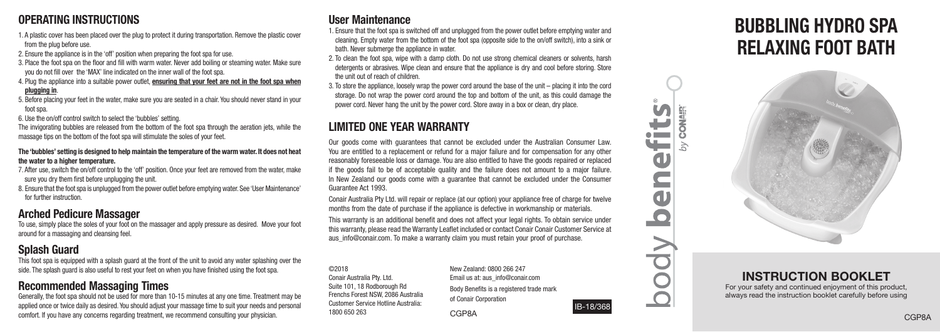# OPERATING INSTRUCTIONS

- 1. A plastic cover has been placed over the plug to protect it during transportation. Remove the plastic cover from the plug before use.
- 2. Ensure the appliance is in the 'off' position when preparing the foot spa for use.
- 3. Place the foot spa on the floor and fill with warm water. Never add boiling or steaming water. Make sure you do not fill over the 'MAX' line indicated on the inner wall of the foot spa.
- 4. Plug the appliance into a suitable power outlet, ensuring that your feet are not in the foot spa when plugging in.
- 5. Before placing your feet in the water, make sure you are seated in a chair. You should never stand in your foot spa.
- 6. Use the on/off control switch to select the 'bubbles' setting.

The invigorating bubbles are released from the bottom of the foot spa through the aeration jets, while the massage tips on the bottom of the foot spa will stimulate the soles of your feet.

### The 'bubbles' setting is designed to help maintain the temperature of the warm water. It does not heat the water to a higher temperature.

7. After use, switch the on/off control to the 'off' position. Once your feet are removed from the water, make sure you dry them first before unplugging the unit.

8. Ensure that the foot spa is unplugged from the power outlet before emptying water. See 'User Maintenance' for further instruction.

### Arched Pedicure Massager

To use, simply place the soles of your foot on the massager and apply pressure as desired. Move your foot around for a massaging and cleansing feel.

# Splash Guard

This foot spa is equipped with a splash guard at the front of the unit to avoid any water splashing over the side. The splash guard is also useful to rest your feet on when you have finished using the foot spa.

## Recommended Massaging Times

Generally, the foot spa should not be used for more than 10-15 minutes at any one time. Treatment may be applied once or twice daily as desired. You should adjust your massage time to suit your needs and personal comfort. If you have any concerns regarding treatment, we recommend consulting your physician.

### User Maintenance

1. Ensure that the foot spa is switched off and unplugged from the power outlet before emptying water and cleaning. Empty water from the bottom of the foot spa (opposite side to the on/off switch), into a sink or bath. Never submerge the appliance in water.

- 2. To clean the foot spa, wipe with a damp cloth. Do not use strong chemical cleaners or solvents, harsh detergents or abrasives. Wipe clean and ensure that the appliance is dry and cool before storing. Store the unit out of reach of children.
- 3. To store the appliance, loosely wrap the power cord around the base of the unit placing it into the cord storage. Do not wrap the power cord around the top and bottom of the unit, as this could damage the power cord. Never hang the unit by the power cord. Store away in a box or clean, dry place.

# LIMITED ONE YEAR WARRANTY

Our goods come with guarantees that cannot be excluded under the Australian Consumer Law. You are entitled to a replacement or refund for a major failure and for compensation for any other reasonably foreseeable loss or damage. You are also entitled to have the goods repaired or replaced if the goods fail to be of acceptable quality and the failure does not amount to a major failure. In New Zealand our goods come with a guarantee that cannot be excluded under the Consumer Guarantee Act 1993.

Conair Australia Pty Ltd. will repair or replace (at our option) your appliance free of charge for twelve months from the date of purchase if the appliance is defective in workmanship or materials.

This warranty is an additional benefit and does not affect your legal rights. To obtain service under this warranty, please read the Warranty Leaflet included or contact Conair Conair Customer Service at aus info@conair.com. To make a warranty claim you must retain your proof of purchase.

©2018 Conair Australia Pty. Ltd. Suite 101, 18 Rodborough Rd Frenchs Forest NSW, 2086 Australia Customer Service Hotline Australia: 1800 650 263

New Zealand: 0800 266 247 Email us at: aus\_info@conair.com Body Benefits is a registered trade mark of Conair Corporation

IB-18/368

L

a and a good state.  $\mathbf 0$ 

 $\bullet$ ÷  $\bigcup$ 

**EXOCO** 

### CGP8A

# BUBBLING HYDRO SPA RELAXING FOOT BATH



### INSTRUCTION BOOKLET

For your safety and continued enjoyment of this product, always read the instruction booklet carefully before using